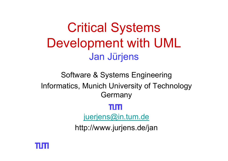Critical Systems Development with UML Jan Jürjens

Software & Systems Engineering Informatics, Munich University of Technology **Germany** m mi [juerjens@in.tum.de](mailto:juerjens@in.tum.de)

http://www.jurjens.de/jan

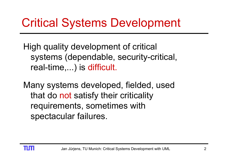## Critical Systems Development

High quality development of critical systems (dependable, security-critical, real-time,...) is difficult.

Many systems developed, fielded, used that do not satisfy their criticality requirements, sometimes with spectacular failures.

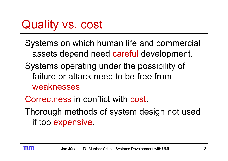Systems on which human life and commercial assets depend need careful development.

- Systems operating under the possibility of failure or attack need to be free from weaknesses.
- Correctness in conflict with cost.
- Thorough methods of system design not used if too expensive.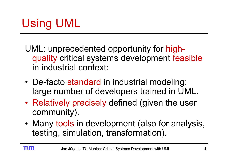- UML: unprecedented opportunity for highquality critical systems development feasible in industrial context:
- De-facto standard in industrial modeling: large number of developers trained in UML.
- •• Relatively precisely defined (given the user community).
- •• Many tools in development (also for analysis, testing, simulation, transformation).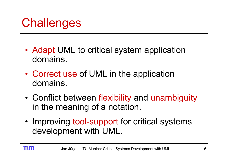## **Challenges**

- • Adapt UML to critical system application domains.
- Correct use of UML in the application domains.
- • Conflict between flexibility and unambiguity in the meaning of a notation.
- •• Improving tool-support for critical systems development with UML.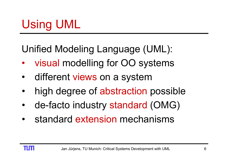Unified Modeling Language (UML):

- $\bullet$ visual modelling for OO systems
- •different views on a system
- •high degree of abstraction possible
- •• de-facto industry standard (OMG)
- •• standard extension mechanisms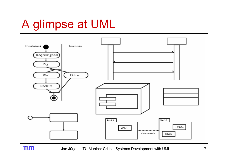## A glimpse at UML



 $\overline{\mathbf{1}}$   $\overline{\mathbf{1}}$ 

Jan Jürjens, TU Munich: Critical Systems Development with UML 7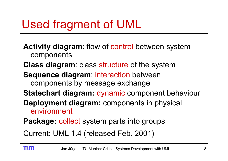## Used fragment of UML

**Activity diagram**: flow of control between system components

- **Class diagram**: class structure of the system
- **Sequence diagram**: interaction between components by message exchange
- **Statechart diagram:** dynamic component behaviour
- **Deployment diagram:** components in physical environment
- **Package:** collect system parts into groups

Current: UML 1.4 (released Feb. 2001)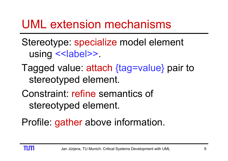### UML extension mechanisms

Stereotype: specialize model element using << label>>.

- Tagged value: attach {tag=value} pair to stereotyped element.
- Constraint: refine semantics of stereotyped element.

Profile: gather above information.

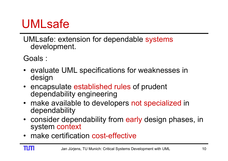## UMLsafe

UMLsafe: extension for dependable systems development.

Goals :

- evaluate UML specifications for weaknesses in design
- encapsulate established rules of prudent dependability engineering
- make available to developers not specialized in dependability
- consider dependability from early design phases, in system context
- make certification cost-effective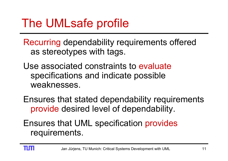Recurring dependability requirements offered as stereotypes with tags.

Use associated constraints to evaluate specifications and indicate possible weaknesses.

Ensures that stated dependability requirements provide desired level of dependability.

Ensures that UML specification provides requirements.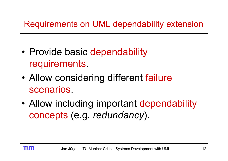- •• Provide basic dependability requirements.
- • Allow considering different failure scenarios.
- • Allow including important dependability concepts (e.g. *redundancy*).

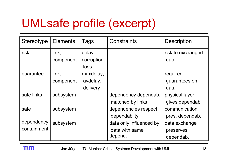# UMLsafe profile (excerpt)

| Stereotype  | <b>Elements</b> | Tags        | <b>Constraints</b>      | <b>Description</b> |
|-------------|-----------------|-------------|-------------------------|--------------------|
| risk        | link,           | delay,      |                         | risk to exchanged  |
|             | component       | corruption, |                         | data               |
|             |                 | loss        |                         |                    |
| guarantee   | link,           | maxdelay,   |                         | required           |
|             | component       | avdelay,    |                         | guarantees on      |
|             |                 | delivery    |                         | data               |
| safe links  | subsystem       |             | dependency dependab.    | physical layer     |
|             |                 |             | matched by links        | gives dependab.    |
| safe        | subsystem       |             | dependencies respect    | communication      |
|             |                 |             | dependablity            | pres. dependab.    |
| dependency  | subsystem       |             | data only influenced by | data exchange      |
| containment |                 |             | data with same          | preserves          |
|             |                 |             | depend.                 | dependab.          |

n m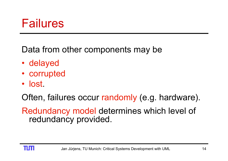### Failures

Data from other components may be

- delayed
- corrupted
- lost.

Often, failures occur randomly (e.g. hardware).

Redundancy model determines which level of redundancy provided.

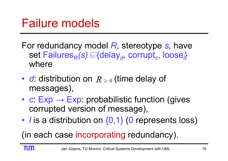- For redundancy model *R,* stereotype *s,* have set Failures<sub>R</sub>(s)⊆{delay<sub>d</sub>, corrupt<sub>c</sub>, loose<sub>i</sub>} where
- $d$ : distribution on  $R$   $\geq$  0 (time delay of messages),
- •• *c*: Exp → Exp: probabilistic function (gives corrupted version of message),
- •• *l* is a distribution on {0,1} (0 represents loss)

(in each case incorporating redundancy).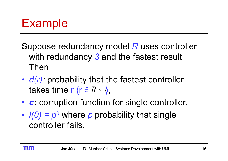## Example

- Suppose redundancy model *R* uses controller with redundancy *3* and the fastest result. Then
- •• *d(r):* probability that the fastest controller takes time r (r ∈ *R* ≥ 0**),**
- •**• c:** corruption function for single controller,
- ••  $I(0) = p<sup>3</sup>$  where *p* probability that single controller fails.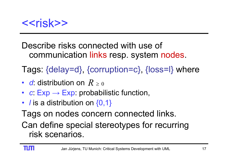

#### Describe risks connected with use of communication links resp. system nodes.

Tags: {delay=d}, {corruption=c}, {loss=l} where

- *d*: distribution on *R* ≥ 0
- *<sup>c</sup>*: Exp <sup>→</sup> Exp: probabilistic function,
- *l* is a distribution on {0,1}

Tags on nodes concern connected links.

Can define special stereotypes for recurring risk scenarios.

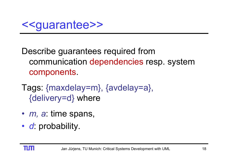Describe guarantees required from communication dependencies resp. system components.

Tags: {maxdelay=m}, {avdelay=a}, {delivery=d} where

- *m, a*: time spans,
- *d*: probability.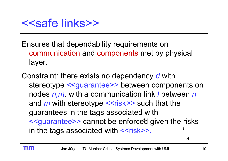Ensures that dependability requirements on communication and components met by physical layer.

Constraint: there exists no dependency *d* with stereotype <<guarantee>> between components on nodes *n,m,* with a communication link *l* between *<sup>n</sup>* and *m* with stereotype *<<*risk*>>* such that the guarantees in the tags associated with <<guarantee>> cannot be enforced given the risks in the tags associated with <<risk>>. *A*

*A*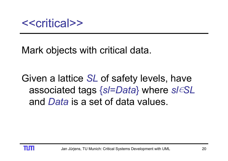#### Mark objects with critical data.

Given a lattice *SL* of safety levels, have associated tags {*sl=Data*} where *sl*∊*SL*  and *Data* is a set of data values.

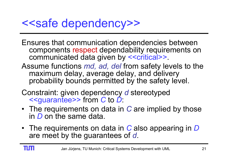### <<safe dependency>>

- Ensures that communication dependencies between components respect dependability requirements on communicated data given by <<critical>>.
- Assume functions *md, ad, del* from safety levels to the maximum delay, average delay, and delivery probability bounds permitted by the safety level.
- Constraint: given dependency *d* stereotyped <<guarantee>> from *C* to *D*:
- The requirements on data in *C* are implied by those in *D* on the same data.
- The requirements on data in *C* also appearing in *D* are meet by the guarantees of *d*.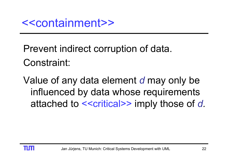Prevent indirect corruption of data. Constraint:

Value of any data element *d* may only be influenced by data whose requirements attached to <<critical>> imply those of *d.*

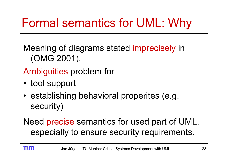Meaning of diagrams stated imprecisely in (OMG 2001).

Ambiguities problem for

- tool support
- •• establishing behavioral properites (e.g. security)

Need precise semantics for used part of UML, especially to ensure security requirements.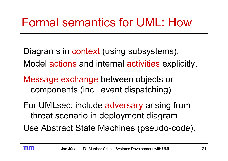- Diagrams in context (using subsystems).
- Model actions and internal activities explicitly.
- Message exchange between objects or components (incl. event dispatching).
- For UMLsec: include adversary arising from threat scenario in deployment diagram.
- Use Abstract State Machines (pseudo-code).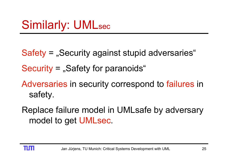- Safety = "Security against stupid adversaries"
- $Security =$  "Safety for paranoids"
- Adversaries in security correspond to failures in safety.
- Replace failure model in UMLsafe by adversary model to get UMLsec.

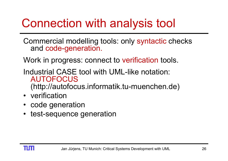## Connection with analysis tool

Commercial modelling tools: only syntactic checks and code-generation.

Work in progress: connect to verification tools.

- Industrial CASE tool with UML-like notation: AUTOFOCUS(http://autofocus.informatik.tu-muenchen.de)
- verification
- •code generation
- •test-sequence generation